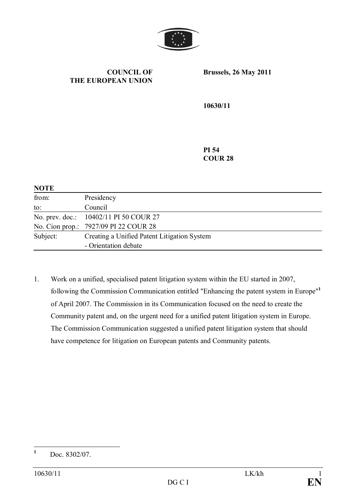

### **COUNCIL OF THE EUROPEAN UNION**

**Brussels, 26 May 2011**

**10630/11**

**PI 54 COUR 28**

| <b>NOTE</b> |                                             |
|-------------|---------------------------------------------|
| from:       | Presidency                                  |
| to:         | Council                                     |
|             | No. prev. doc.: 10402/11 PI 50 COUR 27      |
|             | No. Cion prop.: 7927/09 PI 22 COUR 28       |
| Subject:    | Creating a Unified Patent Litigation System |
|             | - Orientation debate                        |

1. Work on a unified, specialised patent litigation system within the EU started in 2007, following the Commission Communication entitled "Enhancing the patent system in Europe"**<sup>1</sup>** of April 2007. The Commission in its Communication focused on the need to create the Community patent and, on the urgent need for a unified patent litigation system in Europe. The Commission Communication suggested a unified patent litigation system that should have competence for litigation on European patents and Community patents.

**<sup>1</sup>** Doc. 8302/07.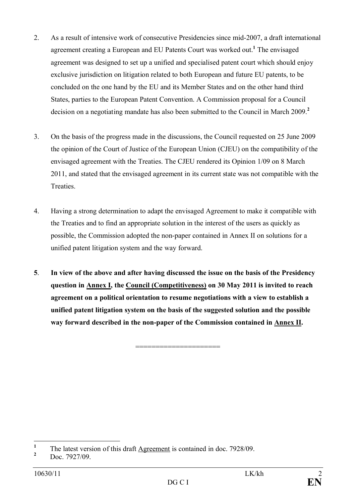- 2. As a result of intensive work of consecutive Presidencies since mid-2007, a draft international agreement creating a European and EU Patents Court was worked out.**<sup>1</sup>** The envisaged agreement was designed to set up a unified and specialised patent court which should enjoy exclusive jurisdiction on litigation related to both European and future EU patents, to be concluded on the one hand by the EU and its Member States and on the other hand third States, parties to the European Patent Convention. A Commission proposal for a Council decision on a negotiating mandate has also been submitted to the Council in March 2009.**<sup>2</sup>**
- 3. On the basis of the progress made in the discussions, the Council requested on 25 June 2009 the opinion of the Court of Justice of the European Union (CJEU) on the compatibility of the envisaged agreement with the Treaties. The CJEU rendered its Opinion 1/09 on 8 March 2011, and stated that the envisaged agreement in its current state was not compatible with the **Treaties**
- 4. Having a strong determination to adapt the envisaged Agreement to make it compatible with the Treaties and to find an appropriate solution in the interest of the users as quickly as possible, the Commission adopted the non-paper contained in Annex II on solutions for a unified patent litigation system and the way forward.
- **5**. **In view of the above and after having discussed the issue on the basis of the Presidency question in Annex I, the Council (Competitiveness) on 30 May 2011 is invited to reach agreement on a political orientation to resume negotiations with a view to establish a unified patent litigation system on the basis of the suggested solution and the possible way forward described in the non-paper of the Commission contained in Annex II.**

=====================

**<sup>1</sup>** The latest version of this draft Agreement is contained in doc. 7928/09.

**<sup>2</sup>** Doc. 7927/09.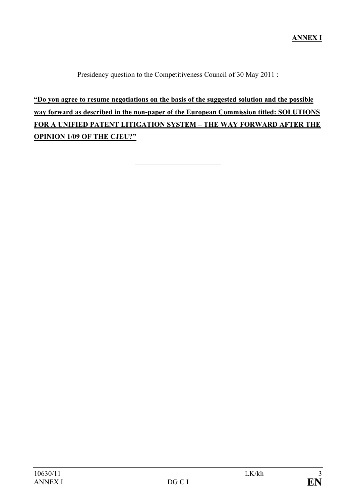Presidency question to the Competitiveness Council of 30 May 2011 :

**"Do you agree to resume negotiations on the basis of the suggested solution and the possible way forward as described in the non-paper of the European Commission titled: SOLUTIONS FOR A UNIFIED PATENT LITIGATION SYSTEM – THE WAY FORWARD AFTER THE OPINION 1/09 OF THE CJEU?"**

 $\frac{1}{2}$  ,  $\frac{1}{2}$  ,  $\frac{1}{2}$  ,  $\frac{1}{2}$  ,  $\frac{1}{2}$  ,  $\frac{1}{2}$  ,  $\frac{1}{2}$  ,  $\frac{1}{2}$  ,  $\frac{1}{2}$  ,  $\frac{1}{2}$  ,  $\frac{1}{2}$  ,  $\frac{1}{2}$  ,  $\frac{1}{2}$  ,  $\frac{1}{2}$  ,  $\frac{1}{2}$  ,  $\frac{1}{2}$  ,  $\frac{1}{2}$  ,  $\frac{1}{2}$  ,  $\frac{1$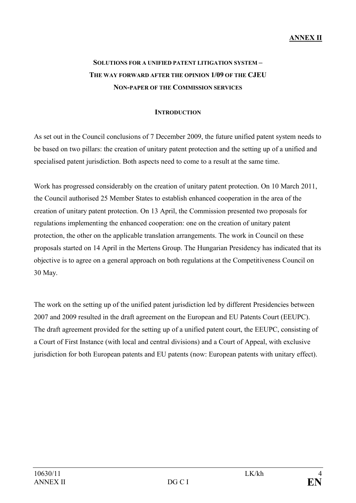# **ANNEX II**

# **SOLUTIONS FOR A UNIFIED PATENT LITIGATION SYSTEM – THE WAY FORWARD AFTER THE OPINION 1/09 OF THE CJEU NON-PAPER OF THE COMMISSION SERVICES**

## **INTRODUCTION**

As set out in the Council conclusions of 7 December 2009, the future unified patent system needs to be based on two pillars: the creation of unitary patent protection and the setting up of a unified and specialised patent jurisdiction. Both aspects need to come to a result at the same time.

Work has progressed considerably on the creation of unitary patent protection. On 10 March 2011, the Council authorised 25 Member States to establish enhanced cooperation in the area of the creation of unitary patent protection. On 13 April, the Commission presented two proposals for regulations implementing the enhanced cooperation: one on the creation of unitary patent protection, the other on the applicable translation arrangements. The work in Council on these proposals started on 14 April in the Mertens Group. The Hungarian Presidency has indicated that its objective is to agree on a general approach on both regulations at the Competitiveness Council on 30 May.

The work on the setting up of the unified patent jurisdiction led by different Presidencies between 2007 and 2009 resulted in the draft agreement on the European and EU Patents Court (EEUPC). The draft agreement provided for the setting up of a unified patent court, the EEUPC, consisting of a Court of First Instance (with local and central divisions) and a Court of Appeal, with exclusive jurisdiction for both European patents and EU patents (now: European patents with unitary effect).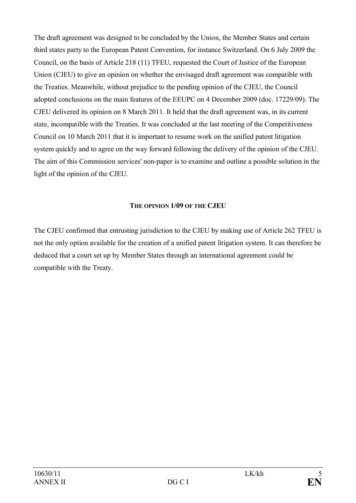The draft agreement was designed to be concluded by the Union, the Member States and certain third states party to the European Patent Convention, for instance Switzerland. On 6 July 2009 the Council, on the basis of Article 218 (11) TFEU, requested the Court of Justice of the European Union (CJEU) to give an opinion on whether the envisaged draft agreement was compatible with the Treaties. Meanwhile, without prejudice to the pending opinion of the CJEU, the Council adopted conclusions on the main features of the EEUPC on 4 December 2009 (doc. 17229/09). The CJEU delivered its opinion on 8 March 2011. It held that the draft agreement was, in its current state, incompatible with the Treaties. It was concluded at the last meeting of the Competitiveness Council on 10 March 2011 that it is important to resume work on the unified patent litigation system quickly and to agree on the way forward following the delivery of the opinion of the CJEU. The aim of this Commission services' non-paper is to examine and outline a possible solution in the light of the opinion of the CJEU.

# **THE OPINION 1/09 OF THE CJEU**

The CJEU confirmed that entrusting jurisdiction to the CJEU by making use of Article 262 TFEU is not the only option available for the creation of a unified patent litigation system. It can therefore be deduced that a court set up by Member States through an international agreement could be compatible with the Treaty.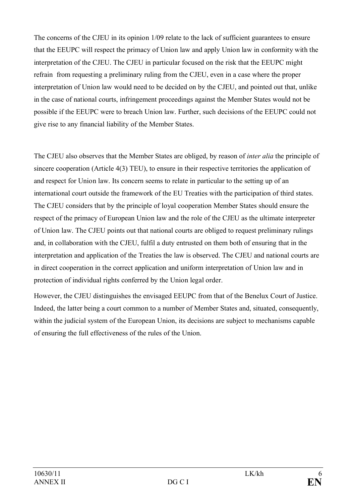The concerns of the CJEU in its opinion 1/09 relate to the lack of sufficient guarantees to ensure that the EEUPC will respect the primacy of Union law and apply Union law in conformity with the interpretation of the CJEU. The CJEU in particular focused on the risk that the EEUPC might refrain from requesting a preliminary ruling from the CJEU, even in a case where the proper interpretation of Union law would need to be decided on by the CJEU, and pointed out that, unlike in the case of national courts, infringement proceedings against the Member States would not be possible if the EEUPC were to breach Union law. Further, such decisions of the EEUPC could not give rise to any financial liability of the Member States.

The CJEU also observes that the Member States are obliged, by reason of *inter alia* the principle of sincere cooperation (Article 4(3) TEU), to ensure in their respective territories the application of and respect for Union law. Its concern seems to relate in particular to the setting up of an international court outside the framework of the EU Treaties with the participation of third states. The CJEU considers that by the principle of loyal cooperation Member States should ensure the respect of the primacy of European Union law and the role of the CJEU as the ultimate interpreter of Union law. The CJEU points out that national courts are obliged to request preliminary rulings and, in collaboration with the CJEU, fulfil a duty entrusted on them both of ensuring that in the interpretation and application of the Treaties the law is observed. The CJEU and national courts are in direct cooperation in the correct application and uniform interpretation of Union law and in protection of individual rights conferred by the Union legal order.

However, the CJEU distinguishes the envisaged EEUPC from that of the Benelux Court of Justice. Indeed, the latter being a court common to a number of Member States and, situated, consequently, within the judicial system of the European Union, its decisions are subject to mechanisms capable of ensuring the full effectiveness of the rules of the Union.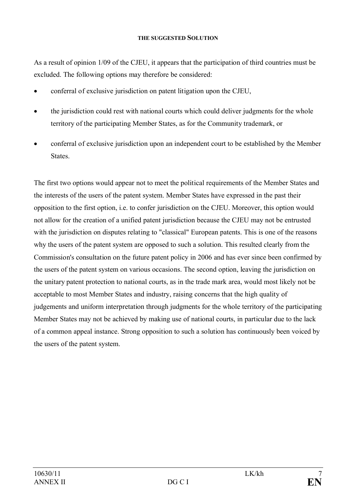### **THE SUGGESTED SOLUTION**

As a result of opinion 1/09 of the CJEU, it appears that the participation of third countries must be excluded. The following options may therefore be considered:

- · conferral of exclusive jurisdiction on patent litigation upon the CJEU,
- the jurisdiction could rest with national courts which could deliver judgments for the whole territory of the participating Member States, as for the Community trademark, or
- conferral of exclusive jurisdiction upon an independent court to be established by the Member States.

The first two options would appear not to meet the political requirements of the Member States and the interests of the users of the patent system. Member States have expressed in the past their opposition to the first option, i.e. to confer jurisdiction on the CJEU. Moreover, this option would not allow for the creation of a unified patent jurisdiction because the CJEU may not be entrusted with the jurisdiction on disputes relating to "classical" European patents. This is one of the reasons why the users of the patent system are opposed to such a solution. This resulted clearly from the Commission's consultation on the future patent policy in 2006 and has ever since been confirmed by the users of the patent system on various occasions. The second option, leaving the jurisdiction on the unitary patent protection to national courts, as in the trade mark area, would most likely not be acceptable to most Member States and industry, raising concerns that the high quality of judgements and uniform interpretation through judgments for the whole territory of the participating Member States may not be achieved by making use of national courts, in particular due to the lack of a common appeal instance. Strong opposition to such a solution has continuously been voiced by the users of the patent system.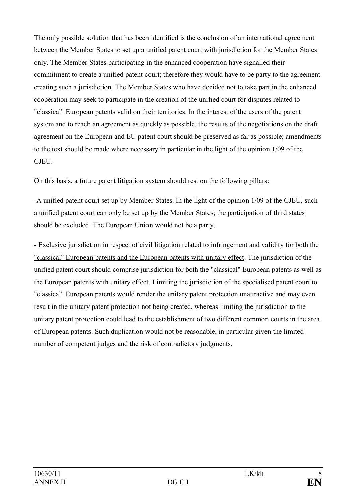The only possible solution that has been identified is the conclusion of an international agreement between the Member States to set up a unified patent court with jurisdiction for the Member States only. The Member States participating in the enhanced cooperation have signalled their commitment to create a unified patent court; therefore they would have to be party to the agreement creating such a jurisdiction. The Member States who have decided not to take part in the enhanced cooperation may seek to participate in the creation of the unified court for disputes related to "classical" European patents valid on their territories. In the interest of the users of the patent system and to reach an agreement as quickly as possible, the results of the negotiations on the draft agreement on the European and EU patent court should be preserved as far as possible; amendments to the text should be made where necessary in particular in the light of the opinion 1/09 of the CJEU.

On this basis, a future patent litigation system should rest on the following pillars:

-A unified patent court set up by Member States. In the light of the opinion 1/09 of the CJEU, such a unified patent court can only be set up by the Member States; the participation of third states should be excluded. The European Union would not be a party.

- Exclusive jurisdiction in respect of civil litigation related to infringement and validity for both the "classical" European patents and the European patents with unitary effect. The jurisdiction of the unified patent court should comprise jurisdiction for both the "classical" European patents as well as the European patents with unitary effect. Limiting the jurisdiction of the specialised patent court to "classical" European patents would render the unitary patent protection unattractive and may even result in the unitary patent protection not being created, whereas limiting the jurisdiction to the unitary patent protection could lead to the establishment of two different common courts in the area of European patents. Such duplication would not be reasonable, in particular given the limited number of competent judges and the risk of contradictory judgments.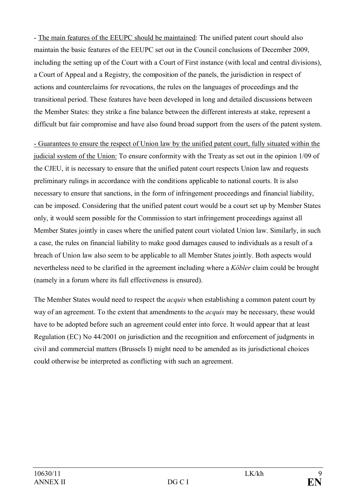- The main features of the EEUPC should be maintained: The unified patent court should also maintain the basic features of the EEUPC set out in the Council conclusions of December 2009, including the setting up of the Court with a Court of First instance (with local and central divisions), a Court of Appeal and a Registry, the composition of the panels, the jurisdiction in respect of actions and counterclaims for revocations, the rules on the languages of proceedings and the transitional period. These features have been developed in long and detailed discussions between the Member States: they strike a fine balance between the different interests at stake, represent a difficult but fair compromise and have also found broad support from the users of the patent system.

- Guarantees to ensure the respect of Union law by the unified patent court, fully situated within the judicial system of the Union: To ensure conformity with the Treaty as set out in the opinion 1/09 of the CJEU, it is necessary to ensure that the unified patent court respects Union law and requests preliminary rulings in accordance with the conditions applicable to national courts. It is also necessary to ensure that sanctions, in the form of infringement proceedings and financial liability, can be imposed. Considering that the unified patent court would be a court set up by Member States only, it would seem possible for the Commission to start infringement proceedings against all Member States jointly in cases where the unified patent court violated Union law. Similarly, in such a case, the rules on financial liability to make good damages caused to individuals as a result of a breach of Union law also seem to be applicable to all Member States jointly. Both aspects would nevertheless need to be clarified in the agreement including where a *Köbler* claim could be brought (namely in a forum where its full effectiveness is ensured).

The Member States would need to respect the *acquis* when establishing a common patent court by way of an agreement. To the extent that amendments to the *acquis* may be necessary, these would have to be adopted before such an agreement could enter into force. It would appear that at least Regulation (EC) No 44/2001 on jurisdiction and the recognition and enforcement of judgments in civil and commercial matters (Brussels I) might need to be amended as its jurisdictional choices could otherwise be interpreted as conflicting with such an agreement.